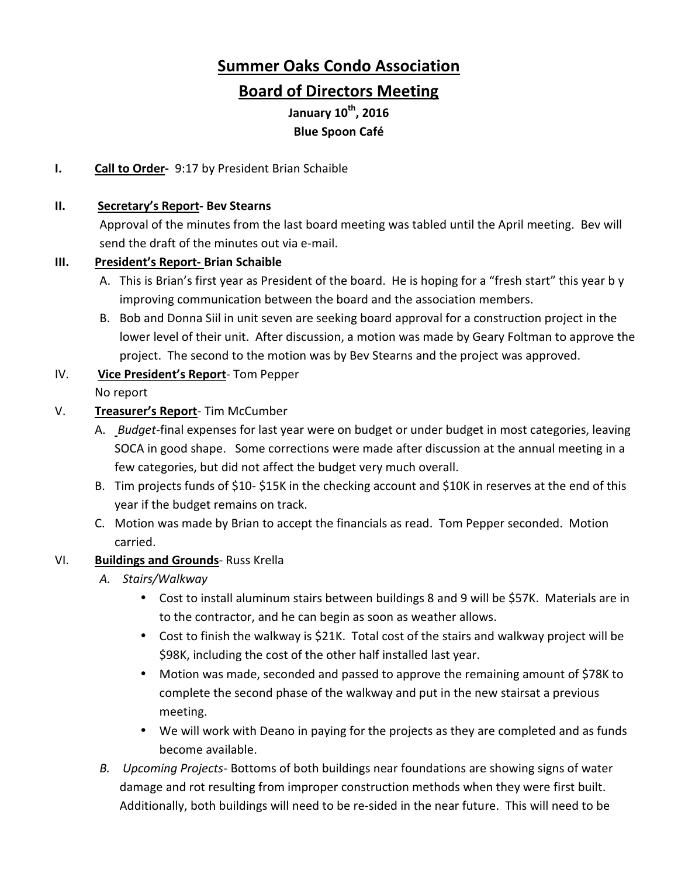# **Summer Oaks Condo Association**

# **Board of Directors Meeting**

**January 10th, 2016 Blue Spoon Café** 

# **I. Call to Order-** 9:17 by President Brian Schaible

#### **II. Secretary's Report- Bev Stearns**

Approval of the minutes from the last board meeting was tabled until the April meeting. Bev will send the draft of the minutes out via e-mail.

#### **III. President's Report- Brian Schaible**

- A. This is Brian's first year as President of the board. He is hoping for a "fresh start" this year b y improving communication between the board and the association members.
- B. Bob and Donna Siil in unit seven are seeking board approval for a construction project in the lower level of their unit. After discussion, a motion was made by Geary Foltman to approve the project. The second to the motion was by Bev Stearns and the project was approved.

#### IV. **Vice President's Report**- Tom Pepper No report

#### V. **Treasurer's Report**- Tim McCumber

- A. *Budget*-final expenses for last year were on budget or under budget in most categories, leaving SOCA in good shape. Some corrections were made after discussion at the annual meeting in a few categories, but did not affect the budget very much overall.
- B. Tim projects funds of \$10- \$15K in the checking account and \$10K in reserves at the end of this year if the budget remains on track.
- C. Motion was made by Brian to accept the financials as read. Tom Pepper seconded. Motion carried.

# VI. **Buildings and Grounds**- Russ Krella

- *A. Stairs/Walkway* 
	- Cost to install aluminum stairs between buildings 8 and 9 will be \$57K. Materials are in to the contractor, and he can begin as soon as weather allows.
	- Cost to finish the walkway is \$21K. Total cost of the stairs and walkway project will be \$98K, including the cost of the other half installed last year.
	- Motion was made, seconded and passed to approve the remaining amount of \$78K to complete the second phase of the walkway and put in the new stairsat a previous meeting.
	- We will work with Deano in paying for the projects as they are completed and as funds become available.
- *B. Upcoming Projects* Bottoms of both buildings near foundations are showing signs of water damage and rot resulting from improper construction methods when they were first built. Additionally, both buildings will need to be re-sided in the near future. This will need to be